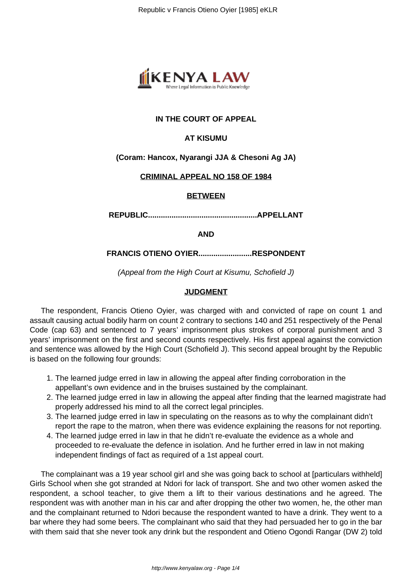

# **IN THE COURT OF APPEAL**

## **AT KISUMU**

#### **(Coram: Hancox, Nyarangi JJA & Chesoni Ag JA)**

#### **CRIMINAL APPEAL NO 158 OF 1984**

#### **BETWEEN**

**REPUBLIC...................................................APPELLANT**

**AND**

#### **FRANCIS OTIENO OYIER.........................RESPONDENT**

(Appeal from the High Court at Kisumu, Schofield J)

#### **JUDGMENT**

The respondent, Francis Otieno Oyier, was charged with and convicted of rape on count 1 and assault causing actual bodily harm on count 2 contrary to sections 140 and 251 respectively of the Penal Code (cap 63) and sentenced to 7 years' imprisonment plus strokes of corporal punishment and 3 years' imprisonment on the first and second counts respectively. His first appeal against the conviction and sentence was allowed by the High Court (Schofield J). This second appeal brought by the Republic is based on the following four grounds:

- 1. The learned judge erred in law in allowing the appeal after finding corroboration in the appellant's own evidence and in the bruises sustained by the complainant.
- 2. The learned judge erred in law in allowing the appeal after finding that the learned magistrate had properly addressed his mind to all the correct legal principles.
- 3. The learned judge erred in law in speculating on the reasons as to why the complainant didn't report the rape to the matron, when there was evidence explaining the reasons for not reporting.
- 4. The learned judge erred in law in that he didn't re-evaluate the evidence as a whole and proceeded to re-evaluate the defence in isolation. And he further erred in law in not making independent findings of fact as required of a 1st appeal court.

The complainant was a 19 year school girl and she was going back to school at [particulars withheld] Girls School when she got stranded at Ndori for lack of transport. She and two other women asked the respondent, a school teacher, to give them a lift to their various destinations and he agreed. The respondent was with another man in his car and after dropping the other two women, he, the other man and the complainant returned to Ndori because the respondent wanted to have a drink. They went to a bar where they had some beers. The complainant who said that they had persuaded her to go in the bar with them said that she never took any drink but the respondent and Otieno Ogondi Rangar (DW 2) told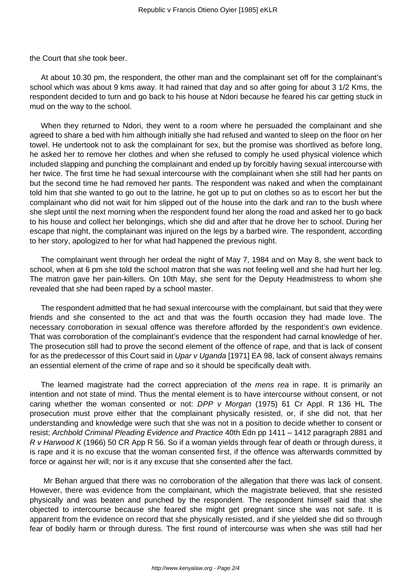the Court that she took beer.

At about 10.30 pm, the respondent, the other man and the complainant set off for the complainant's school which was about 9 kms away. It had rained that day and so after going for about 3 1/2 Kms, the respondent decided to turn and go back to his house at Ndori because he feared his car getting stuck in mud on the way to the school.

When they returned to Ndori, they went to a room where he persuaded the complainant and she agreed to share a bed with him although initially she had refused and wanted to sleep on the floor on her towel. He undertook not to ask the complainant for sex, but the promise was shortlived as before long, he asked her to remove her clothes and when she refused to comply he used physical violence which included slapping and punching the complainant and ended up by forcibly having sexual intercourse with her twice. The first time he had sexual intercourse with the complainant when she still had her pants on but the second time he had removed her pants. The respondent was naked and when the complainant told him that she wanted to go out to the latrine, he got up to put on clothes so as to escort her but the complainant who did not wait for him slipped out of the house into the dark and ran to the bush where she slept until the next morning when the respondent found her along the road and asked her to go back to his house and collect her belongings, which she did and after that he drove her to school. During her escape that night, the complainant was injured on the legs by a barbed wire. The respondent, according to her story, apologized to her for what had happened the previous night.

The complainant went through her ordeal the night of May 7, 1984 and on May 8, she went back to school, when at 6 pm she told the school matron that she was not feeling well and she had hurt her leg. The matron gave her pain-killers. On 10th May, she sent for the Deputy Headmistress to whom she revealed that she had been raped by a school master.

The respondent admitted that he had sexual intercourse with the complainant, but said that they were friends and she consented to the act and that was the fourth occasion they had made love. The necessary corroboration in sexual offence was therefore afforded by the respondent's own evidence. That was corroboration of the complainant's evidence that the respondent had carnal knowledge of her. The prosecution still had to prove the second element of the offence of rape, and that is lack of consent for as the predecessor of this Court said in Upar v Uganda [1971] EA 98, lack of consent always remains an essential element of the crime of rape and so it should be specifically dealt with.

The learned magistrate had the correct appreciation of the *mens rea* in rape. It is primarily an intention and not state of mind. Thus the mental element is to have intercourse without consent, or not caring whether the woman consented or not: DPP v Morgan (1975) 61 Cr Appl. R 136 HL The prosecution must prove either that the complainant physically resisted, or, if she did not, that her understanding and knowledge were such that she was not in a position to decide whether to consent or resist; Archbold Criminal Pleading Evidence and Practice 40th Edn pp 1411 – 1412 paragraph 2881 and R v Harwood K (1966) 50 CR App R 56. So if a woman yields through fear of death or through duress, it is rape and it is no excuse that the woman consented first, if the offence was afterwards committed by force or against her will; nor is it any excuse that she consented after the fact.

Mr Behan argued that there was no corroboration of the allegation that there was lack of consent. However, there was evidence from the complainant, which the magistrate believed, that she resisted physically and was beaten and punched by the respondent. The respondent himself said that she objected to intercourse because she feared she might get pregnant since she was not safe. It is apparent from the evidence on record that she physically resisted, and if she yielded she did so through fear of bodily harm or through duress. The first round of intercourse was when she was still had her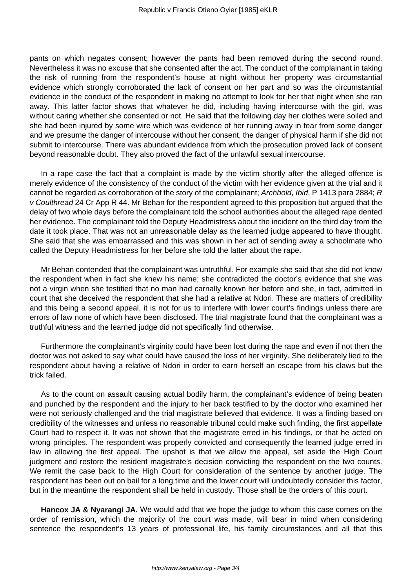pants on which negates consent; however the pants had been removed during the second round. Nevertheless it was no excuse that she consented after the act. The conduct of the complainant in taking the risk of running from the respondent's house at night without her property was circumstantial evidence which strongly corroborated the lack of consent on her part and so was the circumstantial evidence in the conduct of the respondent in making no attempt to look for her that night when she ran away. This latter factor shows that whatever he did, including having intercourse with the girl, was without caring whether she consented or not. He said that the following day her clothes were soiled and she had been injured by some wire which was evidence of her running away in fear from some danger and we presume the danger of intercouse without her consent, the danger of physical harm if she did not submit to intercourse. There was abundant evidence from which the prosecution proved lack of consent beyond reasonable doubt. They also proved the fact of the unlawful sexual intercourse.

In a rape case the fact that a complaint is made by the victim shortly after the alleged offence is merely evidence of the consistency of the conduct of the victim with her evidence given at the trial and it cannot be regarded as corroboration of the story of the complainant; Archbold, Ibid, P 1413 para 2884; R v Coulthread 24 Cr App R 44. Mr Behan for the respondent agreed to this proposition but argued that the delay of two whole days before the complainant told the school authorities about the alleged rape dented her evidence. The complainant told the Deputy Headmistress about the incident on the third day from the date it took place. That was not an unreasonable delay as the learned judge appeared to have thought. She said that she was embarrassed and this was shown in her act of sending away a schoolmate who called the Deputy Headmistress for her before she told the latter about the rape.

Mr Behan contended that the complainant was untruthful. For example she said that she did not know the respondent when in fact she knew his name; she contradicted the doctor's evidence that she was not a virgin when she testified that no man had carnally known her before and she, in fact, admitted in court that she deceived the respondent that she had a relative at Ndori. These are matters of credibility and this being a second appeal, it is not for us to interfere with lower court's findings unless there are errors of law none of which have been disclosed. The trial magistrate found that the complainant was a truthful witness and the learned judge did not specifically find otherwise.

Furthermore the complainant's virginity could have been lost during the rape and even if not then the doctor was not asked to say what could have caused the loss of her virginity. She deliberately lied to the respondent about having a relative of Ndori in order to earn herself an escape from his claws but the trick failed.

As to the count on assault causing actual bodily harm, the complainant's evidence of being beaten and punched by the respondent and the injury to her back testified to by the doctor who examined her were not seriously challenged and the trial magistrate believed that evidence. It was a finding based on credibility of the witnesses and unless no reasonable tribunal could make such finding, the first appellate Court had to respect it. It was not shown that the magistrate erred in his findings, or that he acted on wrong principles. The respondent was properly convicted and consequently the learned judge erred in law in allowing the first appeal. The upshot is that we allow the appeal, set aside the High Court judgment and restore the resident magistrate's decision convicting the respondent on the two counts. We remit the case back to the High Court for consideration of the sentence by another judge. The respondent has been out on bail for a long time and the lower court will undoubtedly consider this factor, but in the meantime the respondent shall be held in custody. Those shall be the orders of this court.

**Hancox JA & Nyarangi JA.** We would add that we hope the judge to whom this case comes on the order of remission, which the majority of the court was made, will bear in mind when considering sentence the respondent's 13 years of professional life, his family circumstances and all that this